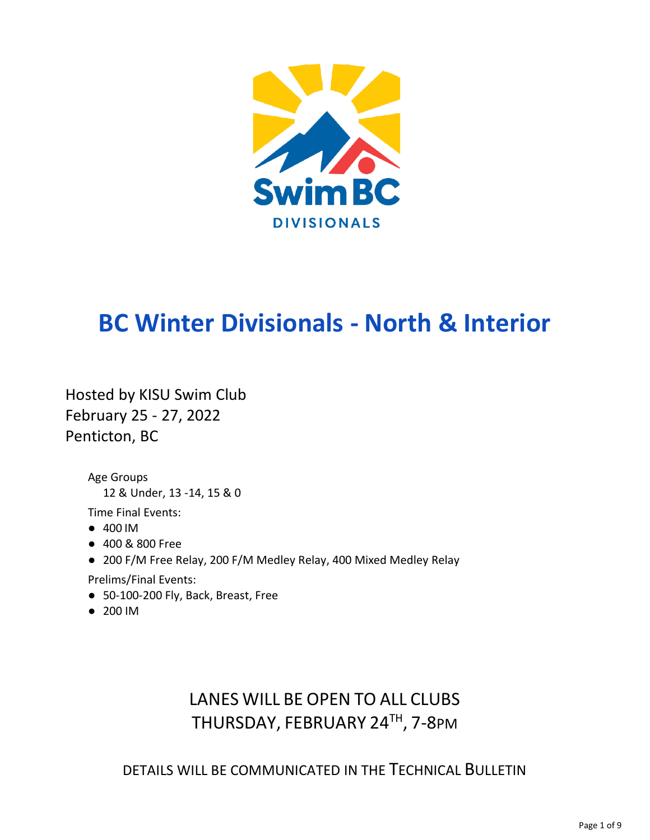

# **BC Winter Divisionals - North & Interior**

Hosted by KISU Swim Club February 25 - 27, 2022 Penticton, BC

> Age Groups 12 & Under, 13 -14, 15 & 0

Time Final Events:

- 400 IM
- 400 & 800 Free
- 200 F/M Free Relay, 200 F/M Medley Relay, 400 Mixed Medley Relay

Prelims/Final Events:

- 50-100-200 Fly, Back, Breast, Free
- 200 IM

## LANES WILL BE OPEN TO ALL CLUBS THURSDAY, FEBRUARY 24<sup>TH</sup>, 7-8PM

DETAILS WILL BE COMMUNICATED IN THE TECHNICAL BULLETIN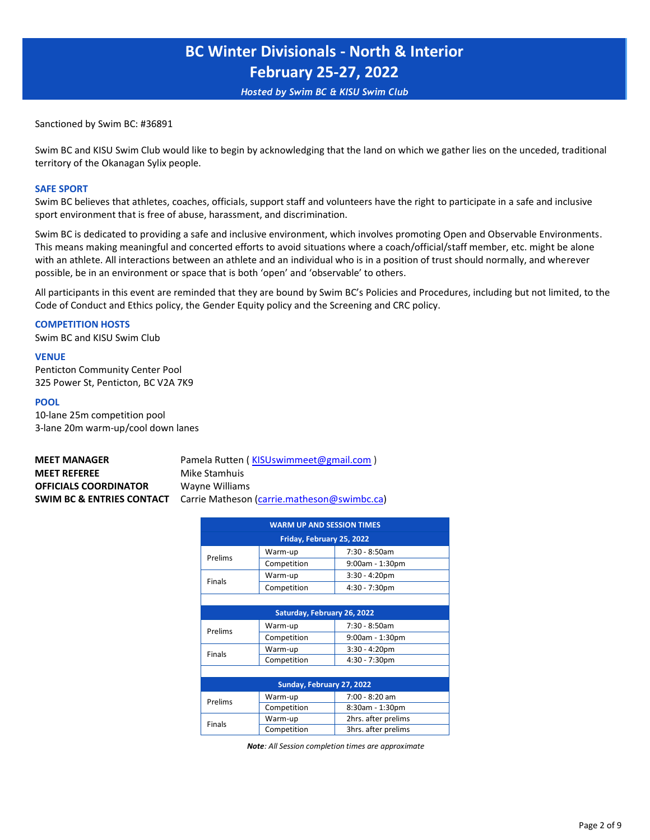*Hosted by Swim BC & KISU Swim Club*

Sanctioned by Swim BC: #36891

Swim BC and KISU Swim Club would like to begin by acknowledging that the land on which we gather lies on the unceded, traditional territory of the Okanagan Sylix people.

#### **SAFE SPORT**

Swim BC believes that athletes, coaches, officials, support staff and volunteers have the right to participate in a safe and inclusive sport environment that is free of abuse, harassment, and discrimination.

Swim BC is dedicated to providing a safe and inclusive environment, which involves promoting Open and Observable Environments. This means making meaningful and concerted efforts to avoid situations where a coach/official/staff member, etc. might be alone with an athlete. All interactions between an athlete and an individual who is in a position of trust should normally, and wherever possible, be in an environment or space that is both 'open' and 'observable' to others.

All participants in this event are reminded that they are bound by Swim BC's Policies and Procedures, including but not limited, to the Code of Conduct and Ethics policy, the Gender Equity policy and the Screening and CRC policy.

#### **COMPETITION HOSTS**

Swim BC and KISU Swim Club

#### **VENUE**

Penticton Community Center Pool 325 Power St, Penticton, BC V2A 7K9

#### **POOL**

10-lane 25m competition pool 3-lane 20m warm-up/cool down lanes

| <b>MEET MANAGER</b>          | Pamela Rutten (KISUswimmeet@gmail.com)                                           |
|------------------------------|----------------------------------------------------------------------------------|
| <b>MEET REFEREE</b>          | Mike Stamhuis                                                                    |
| <b>OFFICIALS COORDINATOR</b> | Wayne Williams                                                                   |
|                              | <b>SWIM BC &amp; ENTRIES CONTACT</b> Carrie Matheson (carrie.matheson@swimbc.ca) |

| <b>WARM UP AND SESSION TIMES</b> |                             |                     |  |  |  |  |  |  |
|----------------------------------|-----------------------------|---------------------|--|--|--|--|--|--|
| Friday, February 25, 2022        |                             |                     |  |  |  |  |  |  |
|                                  | Warm-up                     | $7:30 - 8:50$ am    |  |  |  |  |  |  |
| Prelims                          | Competition                 | 9:00am - 1:30pm     |  |  |  |  |  |  |
|                                  | Warm-up                     | $3:30 - 4:20$ pm    |  |  |  |  |  |  |
| <b>Finals</b>                    | Competition                 | 4:30 - 7:30pm       |  |  |  |  |  |  |
|                                  |                             |                     |  |  |  |  |  |  |
|                                  | Saturday, February 26, 2022 |                     |  |  |  |  |  |  |
| Prelims                          | Warm-up                     | 7:30 - 8:50am       |  |  |  |  |  |  |
|                                  | Competition                 | 9:00am - 1:30pm     |  |  |  |  |  |  |
| <b>Finals</b>                    | Warm-up                     | $3:30 - 4:20$ pm    |  |  |  |  |  |  |
|                                  | Competition                 | 4:30 - 7:30pm       |  |  |  |  |  |  |
|                                  |                             |                     |  |  |  |  |  |  |
|                                  | Sunday, February 27, 2022   |                     |  |  |  |  |  |  |
| Prelims                          | Warm-up                     | 7:00 - 8:20 am      |  |  |  |  |  |  |
|                                  | Competition                 | 8:30am - 1:30pm     |  |  |  |  |  |  |
| Finals                           | Warm-up                     | 2hrs. after prelims |  |  |  |  |  |  |
|                                  | Competition                 | 3hrs. after prelims |  |  |  |  |  |  |

*Note: All Session completion times are approximate*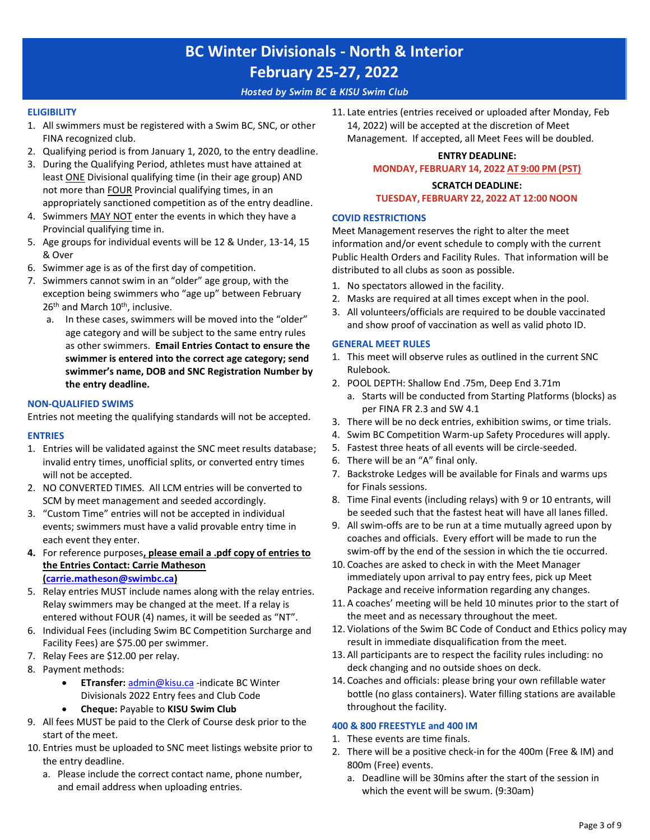### *Hosted by Swim BC & KISU Swim Club*

### **ELIGIBILITY**

- 1. All swimmers must be registered with a Swim BC, SNC, or other FINA recognized club.
- 2. Qualifying period is from January 1, 2020, to the entry deadline.
- 3. During the Qualifying Period, athletes must have attained at least **ONE** Divisional qualifying time (in their age group) AND not more than FOUR Provincial qualifying times, in an appropriately sanctioned competition as of the entry deadline.
- 4. Swimmers MAY NOT enter the events in which they have a Provincial qualifying time in.
- 5. Age groups for individual events will be 12 & Under, 13-14, 15 & Over
- 6. Swimmer age is as of the first day of competition.
- 7. Swimmers cannot swim in an "older" age group, with the exception being swimmers who "age up" between February 26<sup>th</sup> and March 10<sup>th</sup>, inclusive.
	- a. In these cases, swimmers will be moved into the "older" age category and will be subject to the same entry rules as other swimmers. **Email Entries Contact to ensure the swimmer is entered into the correct age category; send swimmer's name, DOB and SNC Registration Number by the entry deadline.**

#### **NON-QUALIFIED SWIMS**

Entries not meeting the qualifying standards will not be accepted.

### **ENTRIES**

- 1. Entries will be validated against the SNC meet results database; invalid entry times, unofficial splits, or converted entry times will not be accepted.
- 2. NO CONVERTED TIMES. All LCM entries will be converted to SCM by meet management and seeded accordingly.
- 3. "Custom Time" entries will not be accepted in individual events; swimmers must have a valid provable entry time in each event they enter.
- **4.** For reference purposes**, please email a .pdf copy of entries to the Entries Contact: Carrie Matheson [\(carrie.matheson@swimbc.ca\)](mailto:carrie.matheson@swimbc.ca)**
- 5. [Relay entries MUST incl](mailto:carrie.matheson@swimbc.ca)ude names along with the relay entries. Relay swimmers may be changed at the meet. If a relay is entered without FOUR (4) names, it will be seeded as "NT".
- 6. Individual Fees (including Swim BC Competition Surcharge and Facility Fees) are \$75.00 per swimmer.
- 7. Relay Fees are \$12.00 per relay.
- 8. Payment methods:
	- **ETransfer:** [admin@kisu.ca](mailto:admin@kisu.ca) [-indicate BC](mailto:admin@kisu.ca) Winter Divisionals 2022 Entry fees and Club Code
	- **Cheque:** Payable to **KISU Swim Club**
- 9. All fees MUST be paid to the Clerk of Course desk prior to the start of the meet.
- 10. Entries must be uploaded to SNC meet listings website prior to the entry deadline.
	- a. Please include the correct contact name, phone number, and email address when uploading entries.

11. Late entries (entries received or uploaded after Monday, Feb 14, 2022) will be accepted at the discretion of Meet Management. If accepted, all Meet Fees will be doubled.

## **ENTRY DEADLINE: MONDAY, FEBRUARY 14, 2022 AT 9:00 PM (PST)**

### **SCRATCH DEADLINE:**

#### **TUESDAY, FEBRUARY 22, 2022 AT 12:00 NOON**

#### **COVID RESTRICTIONS**

Meet Management reserves the right to alter the meet information and/or event schedule to comply with the current Public Health Orders and Facility Rules. That information will be distributed to all clubs as soon as possible.

- 1. No spectators allowed in the facility.
- 2. Masks are required at all times except when in the pool.
- 3. All volunteers/officials are required to be double vaccinated and show proof of vaccination as well as valid photo ID.

#### **GENERAL MEET RULES**

- 1. This meet will observe rules as outlined in the current SNC Rulebook.
- 2. POOL DEPTH: Shallow End .75m, Deep End 3.71m
	- a. Starts will be conducted from Starting Platforms (blocks) as per FINA FR 2.3 and SW 4.1
- 3. There will be no deck entries, exhibition swims, or time trials.
- 4. Swim BC Competition Warm-up Safety Procedures will apply.
- 5. Fastest three heats of all events will be circle-seeded.
- 6. There will be an "A" final only.
- 7. Backstroke Ledges will be available for Finals and warms ups for Finals sessions.
- 8. Time Final events (including relays) with 9 or 10 entrants, will be seeded such that the fastest heat will have all lanes filled.
- 9. All swim-offs are to be run at a time mutually agreed upon by coaches and officials. Every effort will be made to run the swim-off by the end of the session in which the tie occurred.
- 10. Coaches are asked to check in with the Meet Manager immediately upon arrival to pay entry fees, pick up Meet Package and receive information regarding any changes.
- 11. A coaches' meeting will be held 10 minutes prior to the start of the meet and as necessary throughout the meet.
- 12. Violations of the Swim BC Code of Conduct and Ethics policy may result in immediate disqualification from the meet.
- 13. All participants are to respect the facility rules including: no deck changing and no outside shoes on deck.
- 14. Coaches and officials: please bring your own refillable water bottle (no glass containers). Water filling stations are available throughout the facility.

### **400 & 800 FREESTYLE and 400 IM**

- 1. These events are time finals.
- 2. There will be a positive check-in for the 400m (Free & IM) and 800m (Free) events.
	- a. Deadline will be 30mins after the start of the session in which the event will be swum. (9:30am)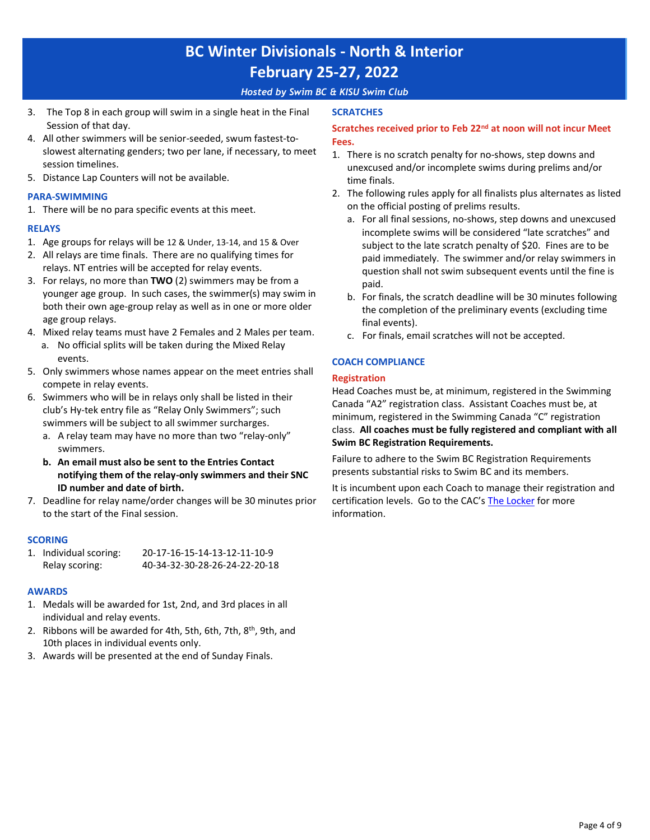### *Hosted by Swim BC & KISU Swim Club*

- 3. The Top 8 in each group will swim in a single heat in the Final Session of that day.
- 4. All other swimmers will be senior-seeded, swum fastest-toslowest alternating genders; two per lane, if necessary, to meet session timelines.
- 5. Distance Lap Counters will not be available.

### **PARA-SWIMMING**

1. There will be no para specific events at this meet.

### **RELAYS**

- 1. Age groups for relays will be 12 & Under, 13-14, and 15 & Over
- 2. All relays are time finals. There are no qualifying times for relays. NT entries will be accepted for relay events.
- 3. For relays, no more than **TWO** (2) swimmers may be from a younger age group. In such cases, the swimmer(s) may swim in both their own age-group relay as well as in one or more older age group relays.
- 4. Mixed relay teams must have 2 Females and 2 Males per team. a. No official splits will be taken during the Mixed Relay events.
- 5. Only swimmers whose names appear on the meet entries shall compete in relay events.
- 6. Swimmers who will be in relays only shall be listed in their club's Hy-tek entry file as "Relay Only Swimmers"; such swimmers will be subject to all swimmer surcharges.
	- a. A relay team may have no more than two "relay-only" swimmers.
	- **b. An email must also be sent to the Entries Contact notifying them of the relay-only swimmers and their SNC ID number and date of birth.**
- 7. Deadline for relay name/order changes will be 30 minutes prior to the start of the Final session.

## **SCORING**

| 1. Individual scoring: | 20-17-16-15-14-13-12-11-10-9  |
|------------------------|-------------------------------|
| Relay scoring:         | 40-34-32-30-28-26-24-22-20-18 |

## **AWARDS**

- 1. Medals will be awarded for 1st, 2nd, and 3rd places in all individual and relay events.
- 2. Ribbons will be awarded for 4th, 5th, 6th, 7th, 8<sup>th</sup>, 9th, and 10th places in individual events only.
- 3. Awards will be presented at the end of Sunday Finals.

### **SCRATCHES**

## **Scratches received prior to Feb 22nd at noon will not incur Meet Fees.**

- 1. There is no scratch penalty for no-shows, step downs and unexcused and/or incomplete swims during prelims and/or time finals.
- 2. The following rules apply for all finalists plus alternates as listed on the official posting of prelims results.
	- a. For all final sessions, no-shows, step downs and unexcused incomplete swims will be considered "late scratches" and subject to the late scratch penalty of \$20. Fines are to be paid immediately. The swimmer and/or relay swimmers in question shall not swim subsequent events until the fine is paid.
	- b. For finals, the scratch deadline will be 30 minutes following the completion of the preliminary events (excluding time final events).
	- c. For finals, email scratches will not be accepted.

## **COACH COMPLIANCE**

### **Registration**

Head Coaches must be, at minimum, registered in the Swimming Canada "A2" registration class. Assistant Coaches must be, at minimum, registered in the Swimming Canada "C" registration class. **All coaches must be fully registered and compliant with all Swim BC Registration Requirements.**

Failure to adhere to the Swim BC Registration Requirements presents substantial risks to Swim BC and its members.

It is incumbent upon each Coach to manage their registration and certification levels. Go to the CAC's [The Locker](https://thelocker.coach.ca/account/login?mode=login) [for more](https://thelocker.coach.ca/account/login?mode=login) information.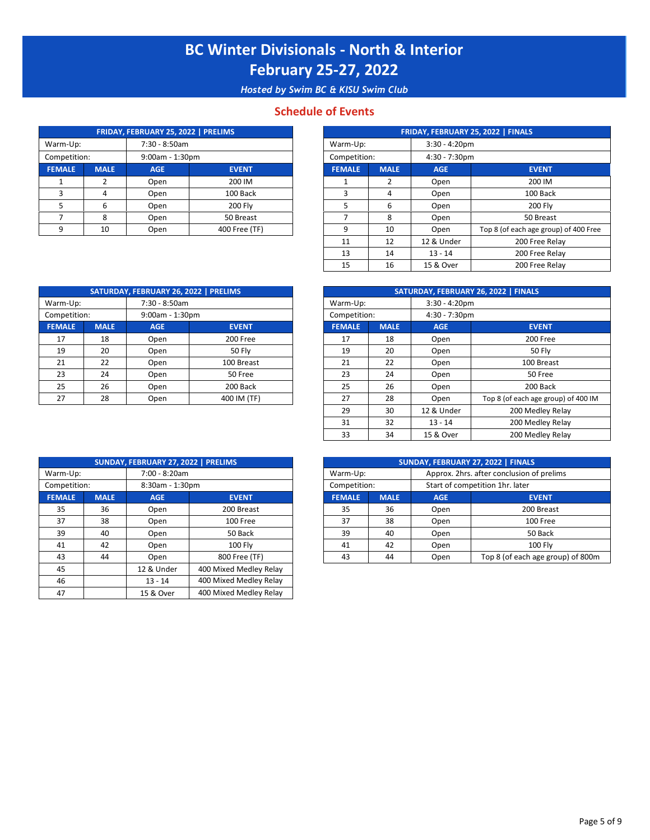*Hosted by Swim BC & KISU Swim Club*

## **Schedule of Events**

|               |             | FRIDAY, FEBRUARY 25, 2022   PRELIMS |               |              |               |             |                  | FRIDAY, FEBRUARY 25, 2022   FINALS |
|---------------|-------------|-------------------------------------|---------------|--------------|---------------|-------------|------------------|------------------------------------|
| Warm-Up:      |             |                                     | 7:30 - 8:50am |              | Warm-Up:      |             | $3:30 - 4:20$ pm |                                    |
| Competition:  |             | 9:00am - 1:30pm                     |               | Competition: |               |             | $4:30 - 7:30$ pm |                                    |
| <b>FEMALE</b> | <b>MALE</b> | AGE.                                | <b>EVENT</b>  |              | <b>FEMALE</b> | <b>MALE</b> | <b>AGE</b>       | <b>EVENT</b>                       |
|               |             | Open                                | 200 IM        |              |               |             | Open             | 200 IM                             |
|               | Д           | Open                                | 100 Back      |              |               |             | Open             | 100 Bac                            |
|               | 6           | Open                                | 200 Flv       |              |               |             | Open             | 200 Fly                            |
|               | 8           | Open                                | 50 Breast     |              |               |             | Open             | 50 Breas                           |
|               | 10          | Open                                | 400 Free (TF) |              | $\Omega$      | 10          | Open             | Top 8 (of each age gro             |

|             |             | FRIDAY, FEBRUARY 25, 2022   PRELIMS |               |               |                  |            | FRIDAY, FEBRUARY 25, 2022   FINALS    |  |  |
|-------------|-------------|-------------------------------------|---------------|---------------|------------------|------------|---------------------------------------|--|--|
| m-Up:       |             | 7:30 - 8:50am                       |               | Warm-Up:      |                  |            | $3:30 - 4:20$ pm                      |  |  |
| npetition:  |             | $9:00am - 1:30pm$                   |               | Competition:  | $4:30 - 7:30$ pm |            |                                       |  |  |
| <b>AALE</b> | <b>MALE</b> | <b>AGE</b>                          | <b>EVENT</b>  | <b>FEMALE</b> | <b>MALE</b>      | <b>AGE</b> | <b>EVENT</b>                          |  |  |
|             |             | Open                                | 200 IM        |               | 2                | Open       | 200 IM                                |  |  |
|             | 4           | Open                                | 100 Back      | 3             | 4                | Open       | 100 Back                              |  |  |
|             | 6           | Open                                | 200 Fly       | .5            | 6                | Open       | <b>200 Fly</b>                        |  |  |
|             | 8           | Open                                | 50 Breast     |               | 8                | Open       | 50 Breast                             |  |  |
| 9           | 10          | Open                                | 400 Free (TF) | 9             | 10               | Open       | Top 8 (of each age group) of 400 Free |  |  |
|             |             |                                     |               | 11            | 12               | 12 & Under | 200 Free Relay                        |  |  |
|             |             |                                     |               | 13            | 14               | $13 - 14$  | 200 Free Relay                        |  |  |
|             |             |                                     |               | 15            | 16               | 15 & Over  | 200 Free Relay                        |  |  |

|               |             | SATURDAY, FEBRUARY 26, 2022   PRELIMS |               |               |             | SATURDAY, FEBRUARY 26, 2022   FINALS |
|---------------|-------------|---------------------------------------|---------------|---------------|-------------|--------------------------------------|
| Warm-Up:      |             | 7:30 - 8:50am                         |               | Warm-Up:      |             | $3:30 - 4:20$ pm                     |
| Competition:  |             | 9:00am - 1:30pm                       |               | Competition:  |             | $4:30 - 7:30$ pm                     |
| <b>FEMALE</b> | <b>MALE</b> | <b>AGE</b>                            | <b>EVENT</b>  | <b>FEMALE</b> | <b>MALE</b> | <b>AGE</b>                           |
| 17            | 18          | Open                                  | 200 Free      | 17            | 18          | Open                                 |
| 19            | 20          | Open                                  | <b>50 Flv</b> | 19            | 20          | Open                                 |
| 21            | 22          | Open                                  | 100 Breast    | 21            | 22          | Open                                 |
| 23            | 24          | Open                                  | 50 Free       | 23            | 24          | Open                                 |
| 25            | 26          | Open                                  | 200 Back      | 25            | 26          | Open                                 |
| 27            | 28          | Open                                  | 400 IM (TF)   | 27            | 28          | Open                                 |

|             |             | SATURDAY, FEBRUARY 26, 2022   PRELIMS |               |                              |             |               | SATURDAY, FEBRUARY 26, 2022   FINALS |  |
|-------------|-------------|---------------------------------------|---------------|------------------------------|-------------|---------------|--------------------------------------|--|
| rm-Up:      |             | 7:30 - 8:50am                         |               | $3:30 - 4:20$ pm<br>Warm-Up: |             |               |                                      |  |
| npetition:  |             | $9:00am - 1:30pm$                     |               | Competition:                 |             | 4:30 - 7:30pm |                                      |  |
| <b>MALE</b> | <b>MALE</b> | <b>AGE</b>                            | <b>EVENT</b>  | <b>FEMALE</b>                | <b>MALE</b> | <b>AGE</b>    | <b>EVENT</b>                         |  |
| 17          | 18          | Open                                  | 200 Free      | 17                           | 18          | Open          | 200 Free                             |  |
| 19          | 20          | Open                                  | <b>50 Flv</b> | 19                           | 20          | Open          | <b>50 Fly</b>                        |  |
| 21          | 22          | Open                                  | 100 Breast    | 21                           | 22          | Open          | 100 Breast                           |  |
| 23          | 24          | Open                                  | 50 Free       | 23                           | 24          | Open          | 50 Free                              |  |
| 25          | 26          | Open                                  | 200 Back      | 25                           | 26          | Open          | 200 Back                             |  |
| 27          | 28          | Open                                  | 400 IM (TF)   | 27                           | 28          | Open          | Top 8 (of each age group) of 400 IM  |  |
|             |             |                                       |               | 29                           | 30          | 12 & Under    | 200 Medley Relay                     |  |
|             |             |                                       |               | 31                           | 32          | $13 - 14$     | 200 Medley Relay                     |  |
|             |             |                                       |               | 33                           | 34          | 15 & Over     | 200 Medley Relay                     |  |

| Approx. 2hrs. after conclusion of prelims<br>7:00 - 8:20am<br>Warm-Up:<br>Warm-Up:<br>Start of competition 1hr. later<br>Competition:<br>8:30am - 1:30pm<br>Competition:<br><b>FEMALE</b><br><b>FEMALE</b><br><b>MALE</b><br><b>MALE</b><br><b>AGE</b><br><b>EVENT</b><br><b>AGE</b><br><b>EVENT</b><br>36<br>35<br>36<br>35<br>200 Breast<br>200 Breast<br>Open<br>Open<br>38<br>38<br>37<br>37<br>100 Free<br>100 Free<br>Open<br>Open<br>39<br>50 Back<br>39<br>40<br>50 Back<br>40<br>Open<br>Open<br>42<br>42<br><b>100 Fly</b><br><b>100 Fly</b><br>41<br>41<br>Open<br>Open<br>800 Free (TF)<br>43<br>43<br>44<br>44<br>Open<br>Open<br>45<br>400 Mixed Medley Relay<br>12 & Under<br>400 Mixed Medley Relay<br>46<br>$13 - 14$<br>400 Mixed Medley Relay<br>47<br>15 & Over |  | SUNDAY, FEBRUARY 27, 2022   PRELIMS |  |  | SUNDAY, FEBRUARY 27, 2022   FINALS |
|-------------------------------------------------------------------------------------------------------------------------------------------------------------------------------------------------------------------------------------------------------------------------------------------------------------------------------------------------------------------------------------------------------------------------------------------------------------------------------------------------------------------------------------------------------------------------------------------------------------------------------------------------------------------------------------------------------------------------------------------------------------------------------------|--|-------------------------------------|--|--|------------------------------------|
|                                                                                                                                                                                                                                                                                                                                                                                                                                                                                                                                                                                                                                                                                                                                                                                     |  |                                     |  |  |                                    |
|                                                                                                                                                                                                                                                                                                                                                                                                                                                                                                                                                                                                                                                                                                                                                                                     |  |                                     |  |  |                                    |
|                                                                                                                                                                                                                                                                                                                                                                                                                                                                                                                                                                                                                                                                                                                                                                                     |  |                                     |  |  |                                    |
|                                                                                                                                                                                                                                                                                                                                                                                                                                                                                                                                                                                                                                                                                                                                                                                     |  |                                     |  |  |                                    |
|                                                                                                                                                                                                                                                                                                                                                                                                                                                                                                                                                                                                                                                                                                                                                                                     |  |                                     |  |  |                                    |
|                                                                                                                                                                                                                                                                                                                                                                                                                                                                                                                                                                                                                                                                                                                                                                                     |  |                                     |  |  |                                    |
|                                                                                                                                                                                                                                                                                                                                                                                                                                                                                                                                                                                                                                                                                                                                                                                     |  |                                     |  |  |                                    |
|                                                                                                                                                                                                                                                                                                                                                                                                                                                                                                                                                                                                                                                                                                                                                                                     |  |                                     |  |  | Top 8 (of each age group           |
|                                                                                                                                                                                                                                                                                                                                                                                                                                                                                                                                                                                                                                                                                                                                                                                     |  |                                     |  |  |                                    |
|                                                                                                                                                                                                                                                                                                                                                                                                                                                                                                                                                                                                                                                                                                                                                                                     |  |                                     |  |  |                                    |
|                                                                                                                                                                                                                                                                                                                                                                                                                                                                                                                                                                                                                                                                                                                                                                                     |  |                                     |  |  |                                    |

|             |             | SUNDAY, FEBRUARY 27, 2022   PRELIMS |                 |  |               |              |                                 | SUNDAY, FEBRUARY 27, 2022   FINALS        |  |
|-------------|-------------|-------------------------------------|-----------------|--|---------------|--------------|---------------------------------|-------------------------------------------|--|
| rm-Up:      |             | 7:00 - 8:20am                       |                 |  | Warm-Up:      |              |                                 | Approx. 2hrs. after conclusion of prelims |  |
| npetition:  |             |                                     | 8:30am - 1:30pm |  |               | Competition: | Start of competition 1hr. later |                                           |  |
| <b>MALE</b> | <b>MALE</b> | <b>AGE</b>                          | <b>EVENT</b>    |  | <b>FEMALE</b> | <b>MALE</b>  | <b>AGE</b>                      | <b>EVENT</b>                              |  |
| 35          | 36          | Open                                | 200 Breast      |  | 35            | 36           | Open                            | 200 Breast                                |  |
| 37          | 38          | Open                                | 100 Free        |  | 37            | 38           | Open                            | 100 Free                                  |  |
| 39          | 40          | Open                                | 50 Back         |  | 39            | 40           | Open                            | 50 Back                                   |  |
| 41          | 42          | Open                                | <b>100 Flv</b>  |  | 41            | 42           | Open                            | <b>100 Flv</b>                            |  |
| 43          | 44          | Open                                | 800 Free (TF)   |  | 43            | 44           | Open                            | Top 8 (of each age group) of 800m         |  |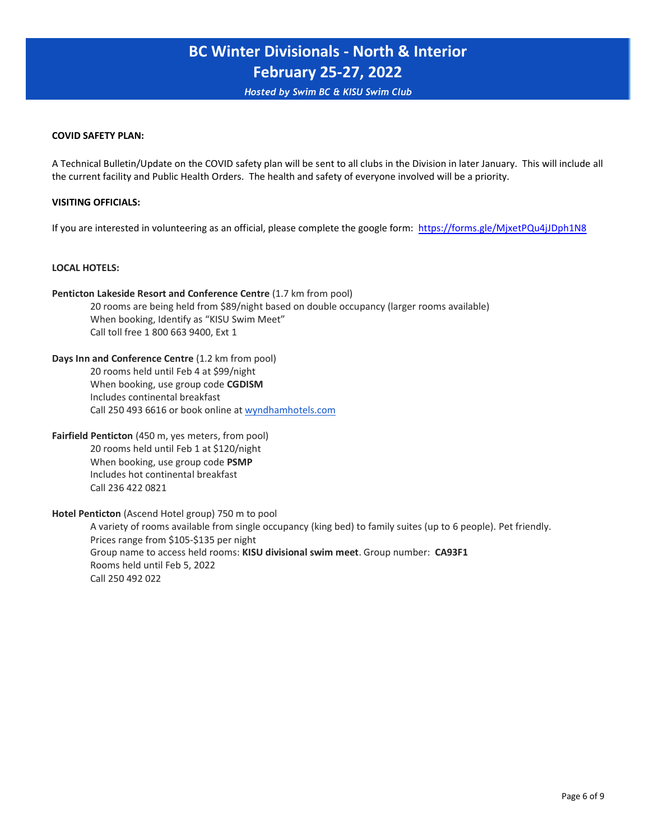*Hosted by Swim BC & KISU Swim Club*

#### **COVID SAFETY PLAN:**

A Technical Bulletin/Update on the COVID safety plan will be sent to all clubs in the Division in later January. This will include all the current facility and Public Health Orders. The health and safety of everyone involved will be a priority.

### **VISITING OFFICIALS:**

If you are interested in volunteering as an official, please complete the google form: <https://forms.gle/MjxetPQu4jJDph1N8>

#### **[LOCAL HOTELS:](https://forms.gle/MjxetPQu4jJDph1N8)**

**[Penticton Lakesi](https://forms.gle/MjxetPQu4jJDph1N8)de Resort and Conference Centre** (1.7 km from pool) 20 rooms are being held from \$89/night based on double occupancy (larger rooms available) When booking, Identify as "KISU Swim Meet" Call toll free 1 800 663 9400, Ext 1

**Days Inn and Conference Centre** (1.2 km from pool) 20 rooms held until Feb 4 at \$99/night When booking, use group code **CGDISM** Includes continental breakfast Call 250 493 6616 or book online at [wyndhamhotels.com](http://wyndhamhotels.com/)

**[Fairfield Pent](http://wyndhamhotels.com/)icton** (450 m, yes meters, from pool) 20 rooms held until Feb 1 at \$120/night When booking, use group code **PSMP** Includes hot continental breakfast Call 236 422 0821

**Hotel Penticton** (Ascend Hotel group) 750 m to pool

A variety of rooms available from single occupancy (king bed) to family suites (up to 6 people). Pet friendly. Prices range from \$105-\$135 per night Group name to access held rooms: **KISU divisional swim meet**. Group number: **CA93F1** Rooms held until Feb 5, 2022 Call 250 492 022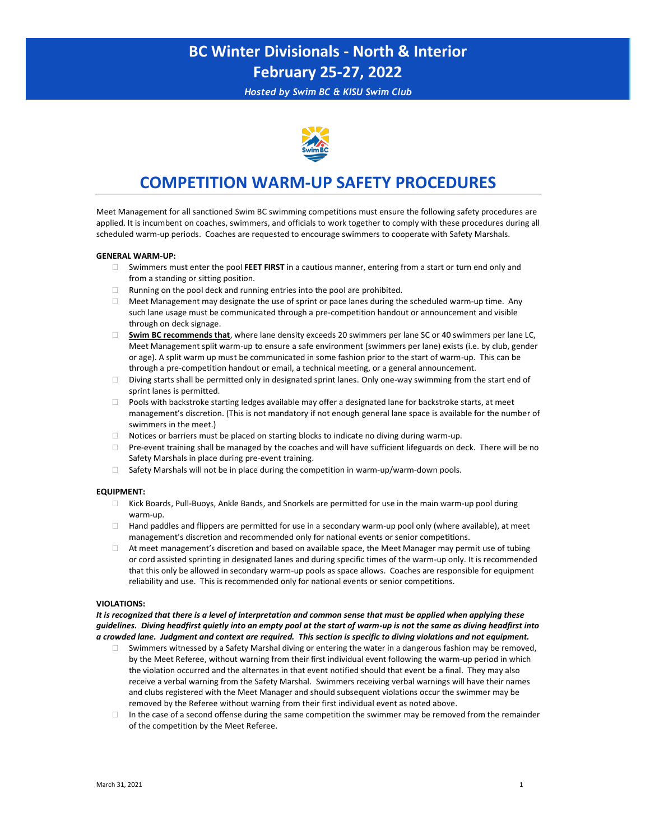*Hosted by Swim BC & KISU Swim Club*



## **COMPETITION WARM-UP SAFETY PROCEDURES**

Meet Management for all sanctioned Swim BC swimming competitions must ensure the following safety procedures are applied. It is incumbent on coaches, swimmers, and officials to work together to comply with these procedures during all scheduled warm-up periods. Coaches are requested to encourage swimmers to cooperate with Safety Marshals.

#### **GENERAL WARM-UP:**

- Swimmers must enter the pool **FEET FIRST** in a cautious manner, entering from a start or turn end only and from a standing or sitting position.
- $\Box$  Running on the pool deck and running entries into the pool are prohibited.
- $\Box$  Meet Management may designate the use of sprint or pace lanes during the scheduled warm-up time. Any such lane usage must be communicated through a pre-competition handout or announcement and visible through on deck signage.
- **Swim BC recommends that**, where lane density exceeds 20 swimmers per lane SC or 40 swimmers per lane LC, Meet Management split warm-up to ensure a safe environment (swimmers per lane) exists (i.e. by club, gender or age). A split warm up must be communicated in some fashion prior to the start of warm-up. This can be through a pre-competition handout or email, a technical meeting, or a general announcement.
- $\Box$  Diving starts shall be permitted only in designated sprint lanes. Only one-way swimming from the start end of sprint lanes is permitted.
- Pools with backstroke starting ledges available may offer a designated lane for backstroke starts, at meet management's discretion. (This is not mandatory if not enough general lane space is available for the number of swimmers in the meet.)
- $\Box$  Notices or barriers must be placed on starting blocks to indicate no diving during warm-up.
- Pre-event training shall be managed by the coaches and will have sufficient lifeguards on deck. There will be no Safety Marshals in place during pre-event training.
- $\Box$  Safety Marshals will not be in place during the competition in warm-up/warm-down pools.

#### **EQUIPMENT:**

- Kick Boards, Pull-Buoys, Ankle Bands, and Snorkels are permitted for use in the main warm-up pool during warm-up.
- $\Box$  Hand paddles and flippers are permitted for use in a secondary warm-up pool only (where available), at meet management's discretion and recommended only for national events or senior competitions.
- $\Box$  At meet management's discretion and based on available space, the Meet Manager may permit use of tubing or cord assisted sprinting in designated lanes and during specific times of the warm-up only. It is recommended that this only be allowed in secondary warm-up pools as space allows. Coaches are responsible for equipment reliability and use. This is recommended only for national events or senior competitions.

#### **VIOLATIONS:**

*It is recognized that there is a level of interpretation and common sense that must be applied when applying these guidelines. Diving headfirst quietly into an empty pool at the start of warm-up is not the same as diving headfirst into a crowded lane. Judgment and context are required. This section is specific to diving violations and not equipment.*

- Swimmers witnessed by a Safety Marshal diving or entering the water in a dangerous fashion may be removed, by the Meet Referee, without warning from their first individual event following the warm-up period in which the violation occurred and the alternates in that event notified should that event be a final. They may also receive a verbal warning from the Safety Marshal. Swimmers receiving verbal warnings will have their names and clubs registered with the Meet Manager and should subsequent violations occur the swimmer may be removed by the Referee without warning from their first individual event as noted above.
- $\Box$  In the case of a second offense during the same competition the swimmer may be removed from the remainder of the competition by the Meet Referee.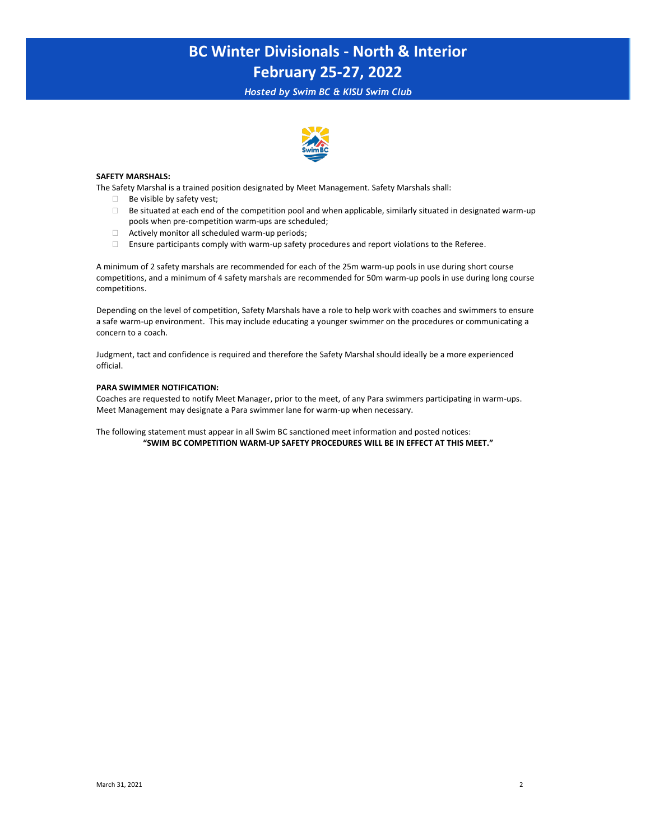*Hosted by Swim BC & KISU Swim Club*



#### **SAFETY MARSHALS:**

The Safety Marshal is a trained position designated by Meet Management. Safety Marshals shall:

- $\Box$  Be visible by safety vest;
- $\Box$  Be situated at each end of the competition pool and when applicable, similarly situated in designated warm-up pools when pre-competition warm-ups are scheduled;
- $\Box$  Actively monitor all scheduled warm-up periods;
- Ensure participants comply with warm-up safety procedures and report violations to the Referee.

A minimum of 2 safety marshals are recommended for each of the 25m warm-up pools in use during short course competitions, and a minimum of 4 safety marshals are recommended for 50m warm-up pools in use during long course competitions.

Depending on the level of competition, Safety Marshals have a role to help work with coaches and swimmers to ensure a safe warm-up environment. This may include educating a younger swimmer on the procedures or communicating a concern to a coach.

Judgment, tact and confidence is required and therefore the Safety Marshal should ideally be a more experienced official.

#### **PARA SWIMMER NOTIFICATION:**

Coaches are requested to notify Meet Manager, prior to the meet, of any Para swimmers participating in warm-ups. Meet Management may designate a Para swimmer lane for warm-up when necessary.

The following statement must appear in all Swim BC sanctioned meet information and posted notices: **"SWIM BC COMPETITION WARM-UP SAFETY PROCEDURES WILL BE IN EFFECT AT THIS MEET."**